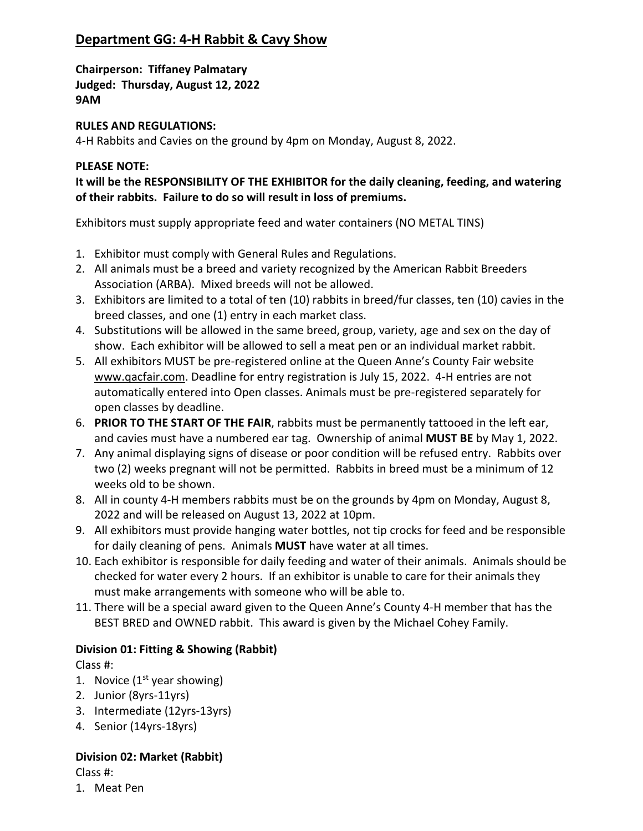# **Department GG: 4-H Rabbit & Cavy Show**

**Chairperson: Tiffaney Palmatary Judged: Thursday, August 12, 2022 9AM** 

## **RULES AND REGULATIONS:**

4-H Rabbits and Cavies on the ground by 4pm on Monday, August 8, 2022.

## **PLEASE NOTE:**

**It will be the RESPONSIBILITY OF THE EXHIBITOR for the daily cleaning, feeding, and watering of their rabbits. Failure to do so will result in loss of premiums.**

Exhibitors must supply appropriate feed and water containers (NO METAL TINS)

- 1. Exhibitor must comply with General Rules and Regulations.
- 2. All animals must be a breed and variety recognized by the American Rabbit Breeders Association (ARBA). Mixed breeds will not be allowed.
- 3. Exhibitors are limited to a total of ten (10) rabbits in breed/fur classes, ten (10) cavies in the breed classes, and one (1) entry in each market class.
- 4. Substitutions will be allowed in the same breed, group, variety, age and sex on the day of show. Each exhibitor will be allowed to sell a meat pen or an individual market rabbit.
- 5. All exhibitors MUST be pre-registered online at the Queen Anne's County Fair website www.qacfair.com. Deadline for entry registration is July 15, 2022. 4-H entries are not automatically entered into Open classes. Animals must be pre-registered separately for open classes by deadline.
- 6. **PRIOR TO THE START OF THE FAIR**, rabbits must be permanently tattooed in the left ear, and cavies must have a numbered ear tag. Ownership of animal **MUST BE** by May 1, 2022.
- 7. Any animal displaying signs of disease or poor condition will be refused entry. Rabbits over two (2) weeks pregnant will not be permitted. Rabbits in breed must be a minimum of 12 weeks old to be shown.
- 8. All in county 4-H members rabbits must be on the grounds by 4pm on Monday, August 8, 2022 and will be released on August 13, 2022 at 10pm.
- 9. All exhibitors must provide hanging water bottles, not tip crocks for feed and be responsible for daily cleaning of pens. Animals **MUST** have water at all times.
- 10. Each exhibitor is responsible for daily feeding and water of their animals. Animals should be checked for water every 2 hours. If an exhibitor is unable to care for their animals they must make arrangements with someone who will be able to.
- 11. There will be a special award given to the Queen Anne's County 4-H member that has the BEST BRED and OWNED rabbit. This award is given by the Michael Cohey Family.

# **Division 01: Fitting & Showing (Rabbit)**

Class #:

- 1. Novice  $(1<sup>st</sup>$  year showing)
- 2. Junior (8yrs-11yrs)
- 3. Intermediate (12yrs-13yrs)
- 4. Senior (14yrs-18yrs)

# **Division 02: Market (Rabbit)**

Class #:

1. Meat Pen